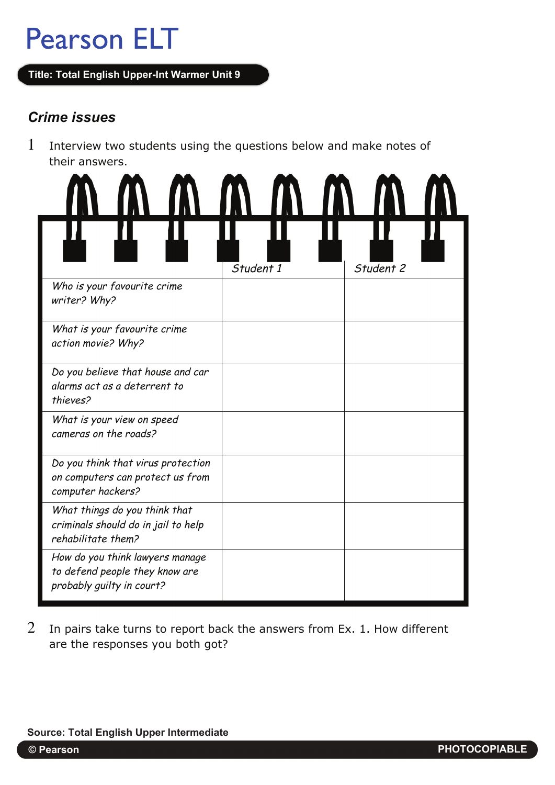# **Pearson ELT**

**Title: Total English Upper-Int Warmer Unit 9**

### *Crime issues*

1 Interview two students using the questions below and make notes of their answers.



 $2$  In pairs take turns to report back the answers from Ex. 1. How different are the responses you both got?